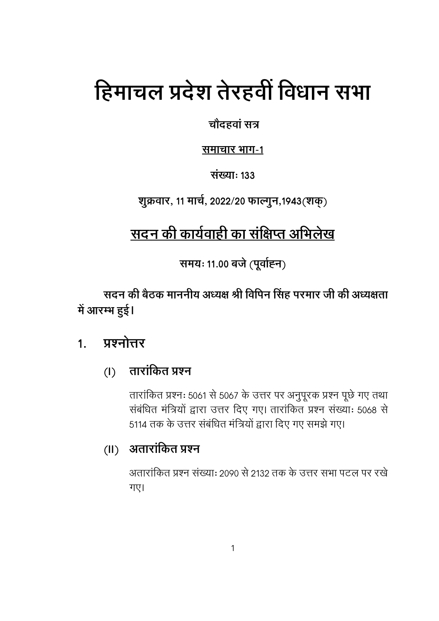# हिमाचल प्रदेश तेरहवीं विधान सभा

चौदहवां सत्र

समाचार भाग-1

संख्याः १३३

शुक्रवार, 11 मार्च, 2022/20 फाल्गुन, 1943 (शक्)

## सदन की कार्यवाही का संक्षिप्त अभिलेख

समयः 11.00 बजे (पूर्वाह्न)

सदन की बैठक माननीय अध्यक्ष श्री विपिन सिंह परमार जी की अध्यक्षता में आरम्भ हुई।

#### प्रश्नोत्तर  $1<sub>1</sub>$

#### तारांकित प्रश्न  $(1)$

तारांकित प्रश्नः 5061 से 5067 के उत्तर पर अनुपूरक प्रश्न पूछे गए तथा संबंधित मंत्रियों द्वारा उत्तर दिए गए। तारांकित प्रश्न संख्याः 5068 से 5114 तक के उत्तर संबंधित मंत्रियों द्वारा दिए गए समझे गए।

#### (II) अतारांकित प्रश्न

अतारांकित प्रश्न संख्या: २०१० से २१३२ तक के उत्तर सभा पटल पर रखे गए।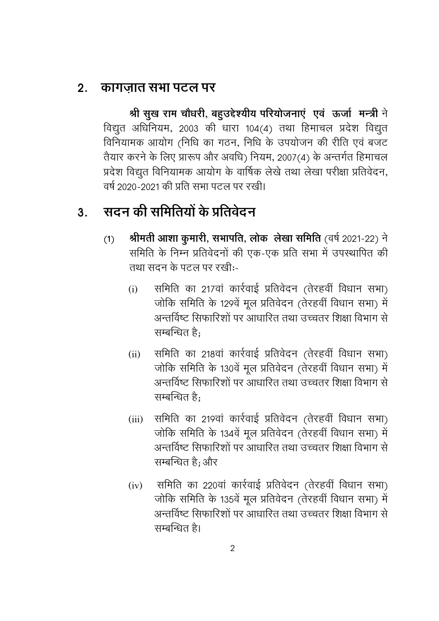#### <u>2. कागजात सभा पटल पर</u>

श्री सुख राम चौधरी, बहुउद्देश्यीय परियोजनाएं एवं ऊर्जा मन्त्री ने विद्युत अधिनियम, 2003 की धारा 104(4) तथा हिमाचल प्रदेश विद्युत विनियामक आयोग (निधि का गठन, निधि के उपयोजन की रीति एवं बजट तैयार करने के लिए प्रारूप और अवधि) नियम, 2007(4) के अन्तर्गत हिमाचल प्रदेश विद्युत विनियामक आयोग के वार्षिक लेखे तथा लेखा परीक्षा प्रतिवेदन, वर्ष २०२०-२०२१ की प्रति सभा पटल पर रखी।

## <u>3. सदन की समितियों के प्रतिवेदन</u>

- (**1) श्रीमती आशा कुमारी, सभापति, लोक लेखा समिति** (वर्ष 2021-22) ने समिति के निम्न प्रतिवेदनों की एक-एक प्रति सभा में उपस्थापित की तथा सदन के पटल पर रखी:-
	- (i) समिति का 217वां कार्रवाई प्रतिवेदन (तेरहवीं विधान सभा) जोकि समिति के 129वें मूल प्रतिवेदन (तेरहवीं विधान सभा) में अन्तर्विष्ट सिफारिशों पर आधारित तथा उच्चतर शिक्षा विभाग से सम्बन्धित है:
	- (ii) समिति का 218वां कार्रवाई प्रतिवेदन (तेरहवीं विधान सभा) जोकि समिति के 130वें मूल प्रतिवेदन (तेरहवीं विधान सभा) में अन्तर्विष्ट सिफारिशों पर आधारित तथा उच्चतर शिक्षा विभाग से सम्बन्धित $\hat{\mathbf{g}}$ :
	- (iii) समिति का 219वां कार्रवाई प्रतिवेदन (तेरहवीं विधान सभा) जोकि समिति के 134वें मूल प्रतिवेदन (तेरहवीं विधान सभा) में अन्तर्विष्ट सिफारिशों पर आधारित तथा उच्चतर शिक्षा विभाग से सम्बन्धित है; और
	- (iv) समिति का 220वां कार्रवाई प्रतिवेदन (तेरहवीं विधान सभा) जोकि समिति के 135वें मूल प्रतिवेदन (तेरहवीं विधान सभा) में अन्तर्विष्टु सिफारिशों पर आधारित तथा उच्चतर शिक्षा विभाग से सम्बन्धित है।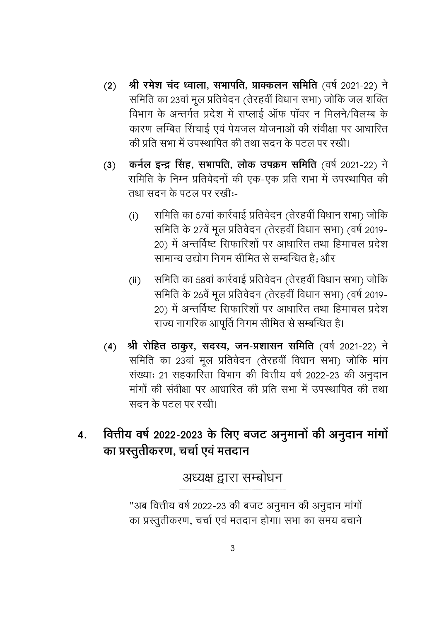- श्री रमेश चंद ध्वाला, सभापति, प्राक्कलन समिति (वर्ष 2021-22) ने  $(2)$ समिति का 23वां मूल प्रतिवेदन (तेरहवीं विधान सभा) जोकि जल शक्ति विभाग के अन्तर्गत प्रदेश में सप्लाई ऑफ पॉवर न मिलने/विलम्ब के कारण लम्बित सिंचाई एवं पेयजल योजनाओं की संवीक्षा पर आधारित की प्रति सभा में उपस्थापित की तथा सदन के पटल पर रखी।
- कर्नल इन्द्र सिंह, सभापति, लोक उपक्रम समिति (वर्ष 2021-22) ने  $(3)$ समिति के निम्न प्रतिवेदनों की एक-एक प्रति सभा में उपस्थापित की तथा सदन के पटल पर रखी:-
	- समिति का 57वां कार्रवाई प्रतिवेदन (तेरहवीं विधान सभा) जोकि  $(i)$ समिति के 27वें मूल प्रतिवेदन (तेरहवीं विधान सभा) (वर्ष 2019-20) में अन्तर्विष्ट सिफारिशों पर आधारित तथा हिमाचल प्रदेश सामान्य उद्योग निगम सीमित से सम्बन्धित है: और
	- समिति का 58वां कार्रवाई प्रतिवेदन (तेरहवीं विधान सभा) जोकि  $(ii)$ समिति के 26वें मुल प्रतिवेदन (तेरहवीं विधान सभा) (वर्ष 2019-20) में अन्तर्विष्ट सिफारिशों पर आधारित तथा हिमाचल प्रदेश राज्य नागरिक आपूर्ति निगम सीमित से सम्बन्धित है।
- श्री रोहित ठाकुर, सदस्य, जन-प्रशासन समिति (वर्ष 2021-22) ने  $(4)$ समिति का 23वां मूल प्रतिवेदन (तेरहवीं विधान सभा) जोकि मांग संख्याः 21 सहकारिता विभाग की वित्तीय वर्ष 2022-23 की अनुदान मांगों की संवीक्षा पर आधारित की प्रति सभा में उपस्थापित की तथा सदन के पटल पर रखी।
- वित्तीय वर्ष 2022-2023 के लिए बजट अनुमानों की अनुदान मांगों  $\overline{4}$ . का प्रस्तूतीकरण, चर्चा एवं मतदान

अध्यक्ष द्वारा सम्बोधन

"अब वित्तीय वर्ष 2022-23 की बजट अनुमान की अनुदान मांगों का प्रस्तुतीकरण, चर्चा एवं मतदान होगा। सभा का समय बचाने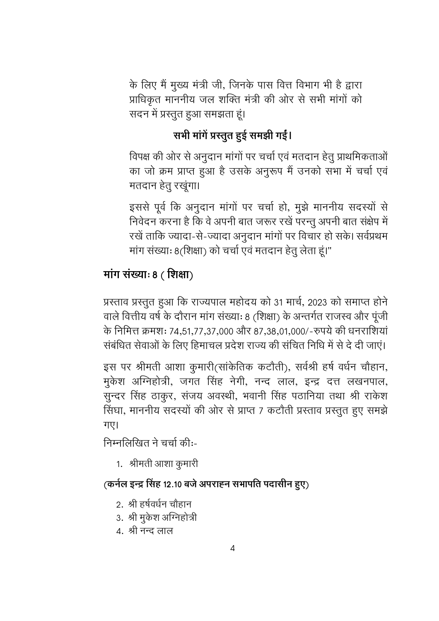के लिए मैं मुख्य मंत्री जी, जिनके पास वित्त विभाग भी है द्वारा प्राधिकृत माननीय जल शक्ति मंत्री की ओर से सभी मांगों को सदन में प्रस्तुत हुआ समझता हूं।

#### सभी मांगें प्रस्तुत हुई समझी गईं।

विपक्ष की ओर से अनुदान मांगों पर चर्चा एवं मतदान हेतु प्राथमिकताओं का जो क्रम प्राप्त हुआ है उसके अनुरूप मैं उनको सभा में चर्चा एवं मतदान हेतु रखूंगा।

इससे पूर्व कि अनुदान मांगों पर चर्चा हो, मुझे माननीय सदस्यों से निवेदन करना है कि वे अपनी बात जरूर रखें परन्तू अपनी बात संक्षेप में रखें ताकि ज्यादा-से-ज्यादा अनुदान मांगों पर विचार हो सके। सर्वप्रथम मांग संख्याः 8(शिक्षा) को चर्चा एवं मतदान हेतु लेता हूं।"

#### मांग संख्याः 8 (शिक्षा)

प्रस्ताव प्रस्तुत हुआ कि राज्यपाल महोदय को 31 मार्च, 2023 को समाप्त होने वाले वित्तीय वर्ष के दौरान मांग संख्याः 8 (शिक्षा) के अन्तर्गत राजस्व और पूंजी के निमित्त क्रमशः 74,51,77,37,000 और 87,38,01,000/-रुपये की धनराशियां संबंधित सेवाओं के लिए हिमाचल प्रदेश राज्य की संचित निधि में से दे दी जाएं।

इस पर श्रीमती आशा कुमारी(सांकेतिक कटौती), सर्वश्री हर्ष वर्धन चौहान, मुकेश अग्निहोत्री, जगत सिंह नेगी, नन्द लाल, इन्द्र दत्त लखनपाल, सुन्दर सिंह ठाकुर, संजय अवस्थी, भवानी सिंह पठानिया तथा श्री राकेश सिंघा, माननीय सदस्यों की ओर से प्राप्त 7 कटौती प्रस्ताव प्रस्तुत हुए समझे गए।

निम्नलिखित ने चर्चा की:-

1. श्रीमती आशा कुमारी

#### (कर्नल इन्द्र सिंह 12.10 बजे अपराहन सभापति पदासीन हुए)

- 2. श्री हर्षवर्धन चौहान
- 3. श्री मुकेश अग्निहोत्री
- 4. श्री नन्द लाल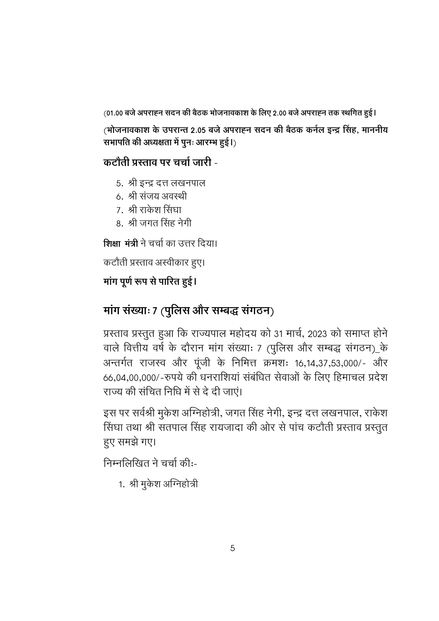(01.00 बजे अपराह्न सदन की बैठक भोजनावकाश के लिए 2.00 बजे अपराह्न तक स्थगित हुई।

(भोजनावकाश के उपरान्त 2.05 बजे अपराह्न सदन की बैठक कर्नल इन्द्र सिंह, माननीय सभापति की अध्यक्षता में पूनः आरम्भ हुई।)

#### कटौती प्रस्ताव पर चर्चा जारी -

- 5. श्री इन्द्र दत्त लखनपाल
- 6. श्री संजय अवस्थी
- 7. श्री राकेश सिंघा
- 8. श्री जगत सिंह नेगी

शिक्षा मंत्री ने चर्चा का उत्तर दिया।

कटौती प्रस्ताव अस्वीकार हुए।

#### मांग पूर्ण रूप से पारित हुई।

#### मांग संख्याः 7 (पुलिस और सम्बद्ध संगठन)

प्रस्ताव प्रस्तुत हुआ कि राज्यपाल महोदय को 31 मार्च, 2023 को समाप्त होने वाले वित्तीय वर्ष के दौरान मांग संख्याः 7 (पुलिस और सम्बद्ध संगठन)\_के अन्तर्गत राजस्व और पूंजी के निमित्त क्रमशः 16,14,37,53,000/- और 66,04,00,000/-रुपये की धनराशियां संबंधित सेवाओं के लिए हिमाचल प्रदेश राज्य की संचित निधि में से दे दी जाएं।

इस पर सर्वश्री मुकेश अग्निहोत्री, जगत सिंह नेगी, इन्द्र दत्त लखनपाल, राकेश सिंघा तथा श्री सतपाल सिंह रायजादा की ओर से पांच कटौती प्रस्ताव प्रस्तुत हुए समझे गए।

निम्नलिखित ने चर्चा की:-

1. श्री मुकेश अग्निहोत्री